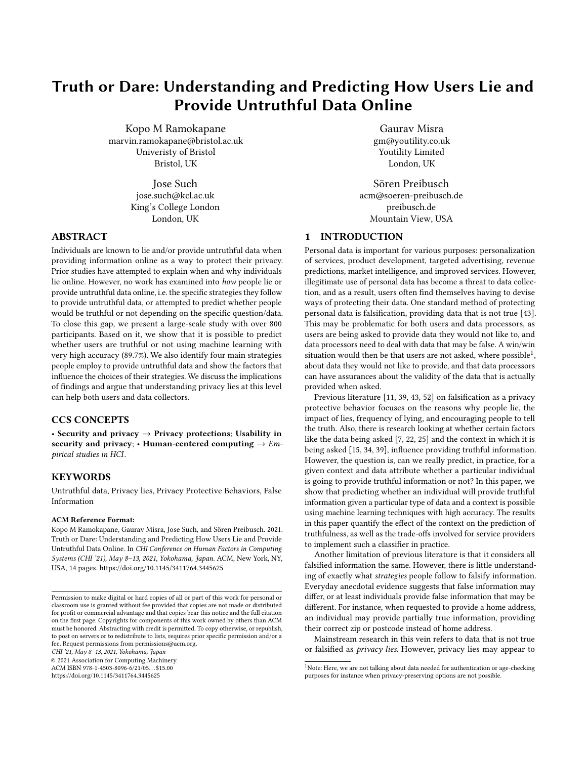# Truth or Dare: Understanding and Predicting How Users Lie and Provide Untruthful Data Online

Kopo M Ramokapane marvin.ramokapane@bristol.ac.uk Univeristy of Bristol Bristol, UK

> Jose Such jose.such@kcl.ac.uk King's College London London, UK

## ABSTRACT

Individuals are known to lie and/or provide untruthful data when providing information online as a way to protect their privacy. Prior studies have attempted to explain when and why individuals lie online. However, no work has examined into how people lie or provide untruthful data online, i.e. the specific strategies they follow to provide untruthful data, or attempted to predict whether people would be truthful or not depending on the specific question/data. To close this gap, we present a large-scale study with over 800 participants. Based on it, we show that it is possible to predict whether users are truthful or not using machine learning with very high accuracy (89.7%). We also identify four main strategies people employ to provide untruthful data and show the factors that influence the choices of their strategies. We discuss the implications of findings and argue that understanding privacy lies at this level can help both users and data collectors.

## CCS CONCEPTS

• Security and privacy  $\rightarrow$  Privacy protections; Usability in security and privacy; • Human-centered computing  $\rightarrow$  Empirical studies in HCI.

## **KEYWORDS**

Untruthful data, Privacy lies, Privacy Protective Behaviors, False Information

## ACM Reference Format:

Kopo M Ramokapane, Gaurav Misra, Jose Such, and Sören Preibusch. 2021. Truth or Dare: Understanding and Predicting How Users Lie and Provide Untruthful Data Online. In CHI Conference on Human Factors in Computing Systems (CHI '21), May 8–13, 2021, Yokohama, Japan. ACM, New York, NY, USA, [14](#page-13-0) pages.<https://doi.org/10.1145/3411764.3445625>

CHI '21, May 8–13, 2021, Yokohama, Japan

© 2021 Association for Computing Machinery.

ACM ISBN 978-1-4503-8096-6/21/05. . . \$15.00 <https://doi.org/10.1145/3411764.3445625>

Gaurav Misra gm@youtility.co.uk Youtility Limited London, UK

Sören Preibusch acm@soeren-preibusch.de preibusch.de Mountain View, USA

## 1 INTRODUCTION

Personal data is important for various purposes: personalization of services, product development, targeted advertising, revenue predictions, market intelligence, and improved services. However, illegitimate use of personal data has become a threat to data collection, and as a result, users often find themselves having to devise ways of protecting their data. One standard method of protecting personal data is falsification, providing data that is not true [\[43\]](#page-11-0). This may be problematic for both users and data processors, as users are being asked to provide data they would not like to, and data processors need to deal with data that may be false. A win/win situation would then be that users are not asked, where possible<sup>[1](#page-0-0)</sup>, about data they would not like to provide, and that data processors can have assurances about the validity of the data that is actually provided when asked.

Previous literature [\[11,](#page-11-1) [39,](#page-11-2) [43,](#page-11-0) [52\]](#page-11-3) on falsification as a privacy protective behavior focuses on the reasons why people lie, the impact of lies, frequency of lying, and encouraging people to tell the truth. Also, there is research looking at whether certain factors like the data being asked [\[7,](#page-11-4) [22,](#page-11-5) [25\]](#page-11-6) and the context in which it is being asked [\[15,](#page-11-7) [34,](#page-11-8) [39\]](#page-11-2), influence providing truthful information. However, the question is, can we really predict, in practice, for a given context and data attribute whether a particular individual is going to provide truthful information or not? In this paper, we show that predicting whether an individual will provide truthful information given a particular type of data and a context is possible using machine learning techniques with high accuracy. The results in this paper quantify the effect of the context on the prediction of truthfulness, as well as the trade-offs involved for service providers to implement such a classifier in practice.

Another limitation of previous literature is that it considers all falsified information the same. However, there is little understanding of exactly what strategies people follow to falsify information. Everyday anecdotal evidence suggests that false information may differ, or at least individuals provide false information that may be different. For instance, when requested to provide a home address, an individual may provide partially true information, providing their correct zip or postcode instead of home address.

Mainstream research in this vein refers to data that is not true or falsified as privacy lies. However, privacy lies may appear to

Permission to make digital or hard copies of all or part of this work for personal or classroom use is granted without fee provided that copies are not made or distributed for profit or commercial advantage and that copies bear this notice and the full citation on the first page. Copyrights for components of this work owned by others than ACM must be honored. Abstracting with credit is permitted. To copy otherwise, or republish, to post on servers or to redistribute to lists, requires prior specific permission and/or a fee. Request permissions from permissions@acm.org.

<span id="page-0-0"></span><sup>&</sup>lt;sup>1</sup>Note: Here, we are not talking about data needed for authentication or age-checking purposes for instance when privacy-preserving options are not possible.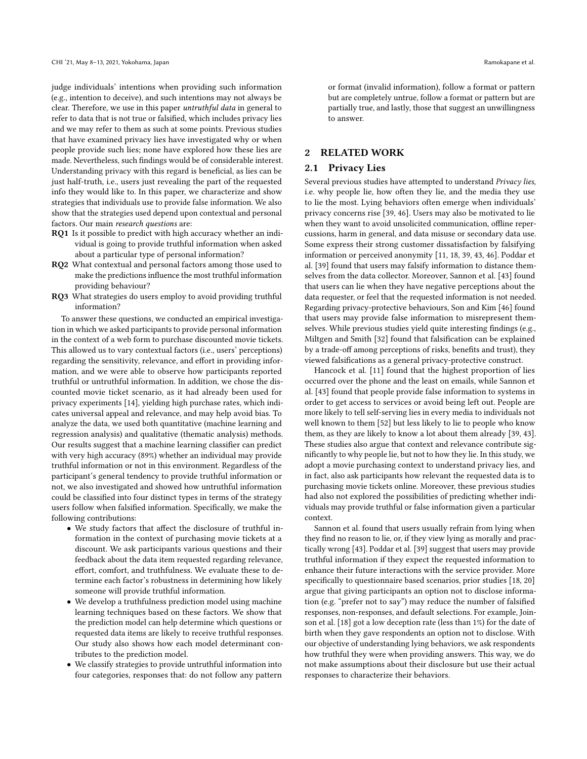judge individuals' intentions when providing such information (e.g., intention to deceive), and such intentions may not always be clear. Therefore, we use in this paper untruthful data in general to refer to data that is not true or falsified, which includes privacy lies and we may refer to them as such at some points. Previous studies that have examined privacy lies have investigated why or when people provide such lies; none have explored how these lies are made. Nevertheless, such findings would be of considerable interest. Understanding privacy with this regard is beneficial, as lies can be just half-truth, i.e., users just revealing the part of the requested info they would like to. In this paper, we characterize and show strategies that individuals use to provide false information. We also show that the strategies used depend upon contextual and personal factors. Our main research questions are:

- RQ1 Is it possible to predict with high accuracy whether an individual is going to provide truthful information when asked about a particular type of personal information?
- RQ2 What contextual and personal factors among those used to make the predictions influence the most truthful information providing behaviour?
- RQ3 What strategies do users employ to avoid providing truthful information?

To answer these questions, we conducted an empirical investigation in which we asked participants to provide personal information in the context of a web form to purchase discounted movie tickets. This allowed us to vary contextual factors (i.e., users' perceptions) regarding the sensitivity, relevance, and effort in providing information, and we were able to observe how participants reported truthful or untruthful information. In addition, we chose the discounted movie ticket scenario, as it had already been used for privacy experiments [\[14\]](#page-11-9), yielding high purchase rates, which indicates universal appeal and relevance, and may help avoid bias. To analyze the data, we used both quantitative (machine learning and regression analysis) and qualitative (thematic analysis) methods. Our results suggest that a machine learning classifier can predict with very high accuracy (89%) whether an individual may provide truthful information or not in this environment. Regardless of the participant's general tendency to provide truthful information or not, we also investigated and showed how untruthful information could be classified into four distinct types in terms of the strategy users follow when falsified information. Specifically, we make the following contributions:

- We study factors that affect the disclosure of truthful information in the context of purchasing movie tickets at a discount. We ask participants various questions and their feedback about the data item requested regarding relevance, effort, comfort, and truthfulness. We evaluate these to determine each factor's robustness in determining how likely someone will provide truthful information.
- We develop a truthfulness prediction model using machine learning techniques based on these factors. We show that the prediction model can help determine which questions or requested data items are likely to receive truthful responses. Our study also shows how each model determinant contributes to the prediction model.
- We classify strategies to provide untruthful information into four categories, responses that: do not follow any pattern

or format (invalid information), follow a format or pattern but are completely untrue, follow a format or pattern but are partially true, and lastly, those that suggest an unwillingness to answer.

#### 2 RELATED WORK

#### 2.1 Privacy Lies

Several previous studies have attempted to understand Privacy lies, i.e. why people lie, how often they lie, and the media they use to lie the most. Lying behaviors often emerge when individuals' privacy concerns rise [\[39,](#page-11-2) [46\]](#page-11-10). Users may also be motivated to lie when they want to avoid unsolicited communication, offline repercussions, harm in general, and data misuse or secondary data use. Some express their strong customer dissatisfaction by falsifying information or perceived anonymity [\[11,](#page-11-1) [18,](#page-11-11) [39,](#page-11-2) [43,](#page-11-0) [46\]](#page-11-10). Poddar et al. [\[39\]](#page-11-2) found that users may falsify information to distance themselves from the data collector. Moreover, Sannon et al. [\[43\]](#page-11-0) found that users can lie when they have negative perceptions about the data requester, or feel that the requested information is not needed. Regarding privacy-protective behaviours, Son and Kim [\[46\]](#page-11-10) found that users may provide false information to misrepresent themselves. While previous studies yield quite interesting findings (e.g., Miltgen and Smith [\[32\]](#page-11-12) found that falsification can be explained by a trade-off among perceptions of risks, benefits and trust), they viewed falsifications as a general privacy-protective construct.

Hancock et al. [\[11\]](#page-11-1) found that the highest proportion of lies occurred over the phone and the least on emails, while Sannon et al. [\[43\]](#page-11-0) found that people provide false information to systems in order to get access to services or avoid being left out. People are more likely to tell self-serving lies in every media to individuals not well known to them [\[52\]](#page-11-3) but less likely to lie to people who know them, as they are likely to know a lot about them already [\[39,](#page-11-2) [43\]](#page-11-0). These studies also argue that context and relevance contribute significantly to why people lie, but not to how they lie. In this study, we adopt a movie purchasing context to understand privacy lies, and in fact, also ask participants how relevant the requested data is to purchasing movie tickets online. Moreover, these previous studies had also not explored the possibilities of predicting whether individuals may provide truthful or false information given a particular context.

Sannon et al. found that users usually refrain from lying when they find no reason to lie, or, if they view lying as morally and practically wrong [\[43\]](#page-11-0). Poddar et al. [\[39\]](#page-11-2) suggest that users may provide truthful information if they expect the requested information to enhance their future interactions with the service provider. More specifically to questionnaire based scenarios, prior studies [\[18,](#page-11-11) [20\]](#page-11-13) argue that giving participants an option not to disclose information (e.g. "prefer not to say") may reduce the number of falsified responses, non-responses, and default selections. For example, Joinson et al. [\[18\]](#page-11-11) got a low deception rate (less than 1%) for the date of birth when they gave respondents an option not to disclose. With our objective of understanding lying behaviors, we ask respondents how truthful they were when providing answers. This way, we do not make assumptions about their disclosure but use their actual responses to characterize their behaviors.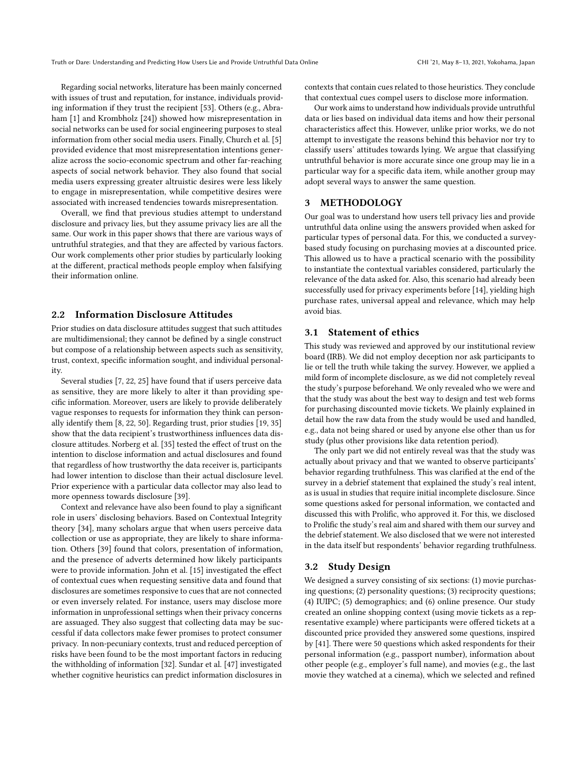Regarding social networks, literature has been mainly concerned with issues of trust and reputation, for instance, individuals providing information if they trust the recipient [\[53\]](#page-11-14). Others (e.g., Abra-ham [\[1\]](#page-10-0) and Krombholz [\[24\]](#page-11-15)) showed how misrepresentation in social networks can be used for social engineering purposes to steal information from other social media users. Finally, Church et al. [\[5\]](#page-11-16) provided evidence that most misrepresentation intentions generalize across the socio-economic spectrum and other far-reaching aspects of social network behavior. They also found that social media users expressing greater altruistic desires were less likely to engage in misrepresentation, while competitive desires were associated with increased tendencies towards misrepresentation.

Overall, we find that previous studies attempt to understand disclosure and privacy lies, but they assume privacy lies are all the same. Our work in this paper shows that there are various ways of untruthful strategies, and that they are affected by various factors. Our work complements other prior studies by particularly looking at the different, practical methods people employ when falsifying their information online.

## 2.2 Information Disclosure Attitudes

Prior studies on data disclosure attitudes suggest that such attitudes are multidimensional; they cannot be defined by a single construct but compose of a relationship between aspects such as sensitivity, trust, context, specific information sought, and individual personality.

Several studies [\[7,](#page-11-4) [22,](#page-11-5) [25\]](#page-11-6) have found that if users perceive data as sensitive, they are more likely to alter it than providing specific information. Moreover, users are likely to provide deliberately vague responses to requests for information they think can personally identify them [\[8,](#page-11-17) [22,](#page-11-5) [50\]](#page-11-18). Regarding trust, prior studies [\[19,](#page-11-19) [35\]](#page-11-20) show that the data recipient's trustworthiness influences data disclosure attitudes. Norberg et al. [\[35\]](#page-11-20) tested the effect of trust on the intention to disclose information and actual disclosures and found that regardless of how trustworthy the data receiver is, participants had lower intention to disclose than their actual disclosure level. Prior experience with a particular data collector may also lead to more openness towards disclosure [\[39\]](#page-11-2).

Context and relevance have also been found to play a significant role in users' disclosing behaviors. Based on Contextual Integrity theory [\[34\]](#page-11-8), many scholars argue that when users perceive data collection or use as appropriate, they are likely to share information. Others [\[39\]](#page-11-2) found that colors, presentation of information, and the presence of adverts determined how likely participants were to provide information. John et al. [\[15\]](#page-11-7) investigated the effect of contextual cues when requesting sensitive data and found that disclosures are sometimes responsive to cues that are not connected or even inversely related. For instance, users may disclose more information in unprofessional settings when their privacy concerns are assuaged. They also suggest that collecting data may be successful if data collectors make fewer promises to protect consumer privacy. In non-pecuniary contexts, trust and reduced perception of risks have been found to be the most important factors in reducing the withholding of information [\[32\]](#page-11-12). Sundar et al. [\[47\]](#page-11-21) investigated whether cognitive heuristics can predict information disclosures in

contexts that contain cues related to those heuristics. They conclude that contextual cues compel users to disclose more information.

Our work aims to understand how individuals provide untruthful data or lies based on individual data items and how their personal characteristics affect this. However, unlike prior works, we do not attempt to investigate the reasons behind this behavior nor try to classify users' attitudes towards lying. We argue that classifying untruthful behavior is more accurate since one group may lie in a particular way for a specific data item, while another group may adopt several ways to answer the same question.

#### 3 METHODOLOGY

Our goal was to understand how users tell privacy lies and provide untruthful data online using the answers provided when asked for particular types of personal data. For this, we conducted a surveybased study focusing on purchasing movies at a discounted price. This allowed us to have a practical scenario with the possibility to instantiate the contextual variables considered, particularly the relevance of the data asked for. Also, this scenario had already been successfully used for privacy experiments before [\[14\]](#page-11-9), yielding high purchase rates, universal appeal and relevance, which may help avoid bias.

## 3.1 Statement of ethics

This study was reviewed and approved by our institutional review board (IRB). We did not employ deception nor ask participants to lie or tell the truth while taking the survey. However, we applied a mild form of incomplete disclosure, as we did not completely reveal the study's purpose beforehand. We only revealed who we were and that the study was about the best way to design and test web forms for purchasing discounted movie tickets. We plainly explained in detail how the raw data from the study would be used and handled, e.g., data not being shared or used by anyone else other than us for study (plus other provisions like data retention period).

The only part we did not entirely reveal was that the study was actually about privacy and that we wanted to observe participants' behavior regarding truthfulness. This was clarified at the end of the survey in a debrief statement that explained the study's real intent, as is usual in studies that require initial incomplete disclosure. Since some questions asked for personal information, we contacted and discussed this with Prolific, who approved it. For this, we disclosed to Prolific the study's real aim and shared with them our survey and the debrief statement. We also disclosed that we were not interested in the data itself but respondents' behavior regarding truthfulness.

#### <span id="page-2-0"></span>3.2 Study Design

We designed a survey consisting of six sections: (1) movie purchasing questions; (2) personality questions; (3) reciprocity questions; (4) IUIPC; (5) demographics; and (6) online presence. Our study created an online shopping context (using movie tickets as a representative example) where participants were offered tickets at a discounted price provided they answered some questions, inspired by [\[41\]](#page-11-22). There were 50 questions which asked respondents for their personal information (e.g., passport number), information about other people (e.g., employer's full name), and movies (e.g., the last movie they watched at a cinema), which we selected and refined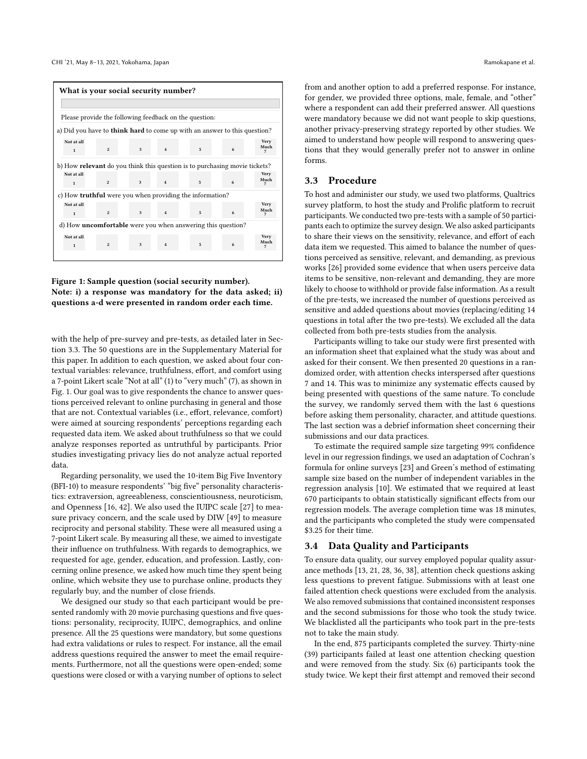<span id="page-3-1"></span>

| What is your social security number? |                                                                                   |                |   |                         |                                                                                  |   |              |  |  |
|--------------------------------------|-----------------------------------------------------------------------------------|----------------|---|-------------------------|----------------------------------------------------------------------------------|---|--------------|--|--|
|                                      |                                                                                   |                |   |                         |                                                                                  |   |              |  |  |
|                                      | Please provide the following feedback on the question:                            |                |   |                         |                                                                                  |   |              |  |  |
|                                      |                                                                                   |                |   |                         | a) Did you have to <b>think hard</b> to come up with an answer to this question? |   |              |  |  |
| Not at all<br>$\mathbf{1}$           |                                                                                   | $\overline{2}$ | 3 | $\overline{4}$          | 5                                                                                | 6 | Very<br>Much |  |  |
|                                      | b) How <b>relevant</b> do you think this question is to purchasing movie tickets? |                |   |                         |                                                                                  |   |              |  |  |
| Not at all<br>$\mathbf{1}$           |                                                                                   | $\overline{2}$ | 3 | $\overline{\mathbf{4}}$ | 5                                                                                | 6 | Very<br>Much |  |  |
|                                      |                                                                                   |                |   |                         | c) How truthful were you when providing the information?                         |   |              |  |  |
| Not at all<br>$\mathbf{1}$           |                                                                                   | $\overline{2}$ | 3 | $\overline{4}$          | 5.                                                                               | 6 | Very<br>Much |  |  |
|                                      | d) How <b>uncomfortable</b> were you when answering this question?                |                |   |                         |                                                                                  |   |              |  |  |
| Not at all<br>1                      |                                                                                   | $\overline{2}$ | 3 | $\overline{4}$          | 5                                                                                | 6 | Very<br>Much |  |  |



with the help of pre-survey and pre-tests, as detailed later in Section [3.3.](#page-3-0) The 50 questions are in the Supplementary Material for this paper. In addition to each question, we asked about four contextual variables: relevance, truthfulness, effort, and comfort using a 7-point Likert scale "Not at all" (1) to "very much" (7), as shown in Fig. [1.](#page-3-1) Our goal was to give respondents the chance to answer questions perceived relevant to online purchasing in general and those that are not. Contextual variables (i.e., effort, relevance, comfort) were aimed at sourcing respondents' perceptions regarding each requested data item. We asked about truthfulness so that we could analyze responses reported as untruthful by participants. Prior studies investigating privacy lies do not analyze actual reported data.

Regarding personality, we used the 10-item Big Five Inventory (BFI-10) to measure respondents' "big five" personality characteristics: extraversion, agreeableness, conscientiousness, neuroticism, and Openness [\[16,](#page-11-23) [42\]](#page-11-24). We also used the IUIPC scale [\[27\]](#page-11-25) to measure privacy concern, and the scale used by DIW [\[49\]](#page-11-26) to measure reciprocity and personal stability. These were all measured using a 7-point Likert scale. By measuring all these, we aimed to investigate their influence on truthfulness. With regards to demographics, we requested for age, gender, education, and profession. Lastly, concerning online presence, we asked how much time they spent being online, which website they use to purchase online, products they regularly buy, and the number of close friends.

We designed our study so that each participant would be presented randomly with 20 movie purchasing questions and five questions: personality, reciprocity, IUIPC, demographics, and online presence. All the 25 questions were mandatory, but some questions had extra validations or rules to respect. For instance, all the email address questions required the answer to meet the email requirements. Furthermore, not all the questions were open-ended; some questions were closed or with a varying number of options to select

from and another option to add a preferred response. For instance, for gender, we provided three options, male, female, and "other" where a respondent can add their preferred answer. All questions were mandatory because we did not want people to skip questions, another privacy-preserving strategy reported by other studies. We aimed to understand how people will respond to answering questions that they would generally prefer not to answer in online forms.

## <span id="page-3-0"></span>3.3 Procedure

To host and administer our study, we used two platforms, Qualtrics survey platform, to host the study and Prolific platform to recruit participants. We conducted two pre-tests with a sample of 50 participants each to optimize the survey design. We also asked participants to share their views on the sensitivity, relevance, and effort of each data item we requested. This aimed to balance the number of questions perceived as sensitive, relevant, and demanding, as previous works [\[26\]](#page-11-27) provided some evidence that when users perceive data items to be sensitive, non-relevant and demanding, they are more likely to choose to withhold or provide false information. As a result of the pre-tests, we increased the number of questions perceived as sensitive and added questions about movies (replacing/editing 14 questions in total after the two pre-tests). We excluded all the data collected from both pre-tests studies from the analysis.

Participants willing to take our study were first presented with an information sheet that explained what the study was about and asked for their consent. We then presented 20 questions in a randomized order, with attention checks interspersed after questions 7 and 14. This was to minimize any systematic effects caused by being presented with questions of the same nature. To conclude the survey, we randomly served them with the last 6 questions before asking them personality, character, and attitude questions. The last section was a debrief information sheet concerning their submissions and our data practices.

To estimate the required sample size targeting 99% confidence level in our regression findings, we used an adaptation of Cochran's formula for online surveys [\[23\]](#page-11-28) and Green's method of estimating sample size based on the number of independent variables in the regression analysis [\[10\]](#page-11-29). We estimated that we required at least 670 participants to obtain statistically significant effects from our regression models. The average completion time was 18 minutes, and the participants who completed the study were compensated \$3.25 for their time.

#### 3.4 Data Quality and Participants

To ensure data quality, our survey employed popular quality assurance methods [\[13,](#page-11-30) [21,](#page-11-31) [28,](#page-11-32) [36,](#page-11-33) [38\]](#page-11-34), attention check questions asking less questions to prevent fatigue. Submissions with at least one failed attention check questions were excluded from the analysis. We also removed submissions that contained inconsistent responses and the second submissions for those who took the study twice. We blacklisted all the participants who took part in the pre-tests not to take the main study.

In the end, 875 participants completed the survey. Thirty-nine (39) participants failed at least one attention checking question and were removed from the study. Six (6) participants took the study twice. We kept their first attempt and removed their second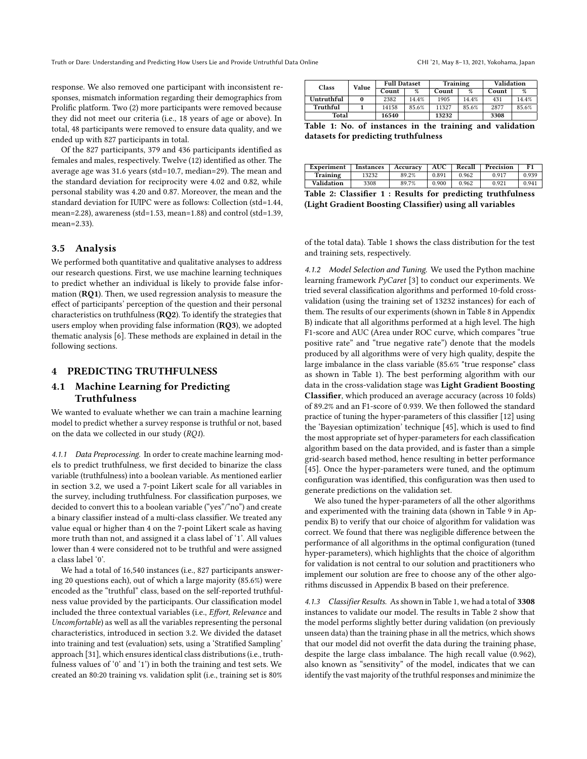response. We also removed one participant with inconsistent responses, mismatch information regarding their demographics from Prolific platform. Two (2) more participants were removed because they did not meet our criteria (i.e., 18 years of age or above). In total, 48 participants were removed to ensure data quality, and we ended up with 827 participants in total.

Of the 827 participants, 379 and 436 participants identified as females and males, respectively. Twelve (12) identified as other. The average age was 31.6 years (std=10.7, median=29). The mean and the standard deviation for reciprocity were 4.02 and 0.82, while personal stability was 4.20 and 0.87. Moreover, the mean and the standard deviation for IUIPC were as follows: Collection (std=1.44, mean=2.28), awareness (std=1.53, mean=1.88) and control (std=1.39, mean=2.33).

#### 3.5 Analysis

We performed both quantitative and qualitative analyses to address our research questions. First, we use machine learning techniques to predict whether an individual is likely to provide false information (RQ1). Then, we used regression analysis to measure the effect of participants' perception of the question and their personal characteristics on truthfulness (RQ2). To identify the strategies that users employ when providing false information (RQ3), we adopted thematic analysis [\[6\]](#page-11-35). These methods are explained in detail in the following sections.

## 4 PREDICTING TRUTHFULNESS

## <span id="page-4-2"></span>4.1 Machine Learning for Predicting Truthfulness

We wanted to evaluate whether we can train a machine learning model to predict whether a survey response is truthful or not, based on the data we collected in our study (RQ1).

4.1.1 Data Preprocessing. In order to create machine learning models to predict truthfulness, we first decided to binarize the class variable (truthfulness) into a boolean variable. As mentioned earlier in section [3.2,](#page-2-0) we used a 7-point Likert scale for all variables in the survey, including truthfulness. For classification purposes, we decided to convert this to a boolean variable ("yes"/"no") and create a binary classifier instead of a multi-class classifier. We treated any value equal or higher than 4 on the 7-point Likert scale as having more truth than not, and assigned it a class label of '1'. All values lower than 4 were considered not to be truthful and were assigned a class label '0'.

We had a total of 16,540 instances (i.e., 827 participants answering 20 questions each), out of which a large majority (85.6%) were encoded as the "truthful" class, based on the self-reported truthfulness value provided by the participants. Our classification model included the three contextual variables (i.e., Effort, Relevance and Uncomfortable) as well as all the variables representing the personal characteristics, introduced in section [3.2.](#page-2-0) We divided the dataset into training and test (evaluation) sets, using a 'Stratified Sampling' approach [\[31\]](#page-11-36), which ensures identical class distributions (i.e., truthfulness values of '0' and '1') in both the training and test sets. We created an 80:20 training vs. validation split (i.e., training set is 80%

<span id="page-4-0"></span>

| <b>Class</b> | Value | <b>Full Dataset</b> |       | Training |       | Validation |       |  |
|--------------|-------|---------------------|-------|----------|-------|------------|-------|--|
|              |       | Count               | $\%$  | Count    | $\%$  | Count      | $\%$  |  |
| Untruthful   |       | 2382                | 14.4% | 1905     | 14.4% | 431        | 14.4% |  |
| Truthful     |       | 14158               | 85.6% | 11327    | 85.6% | 2877       | 85.6% |  |
| Total        |       | 16540               |       | 13232    |       | 3308       |       |  |

Table 1: No. of instances in the training and validation datasets for predicting truthfulness

<span id="page-4-1"></span>

| Experiment                                                  | <b>Instances</b> | Accuracy | <b>AUC</b> | Recall | Precision | F1    |  |  |  |
|-------------------------------------------------------------|------------------|----------|------------|--------|-----------|-------|--|--|--|
| Training                                                    | 13232            | 89.2%    | 0.891      | 0.962  | 0.917     | 0.939 |  |  |  |
| Validation                                                  | 3308             | 89.7%    | 0.900      | 0.962  | 0.921     | 0.941 |  |  |  |
| Tekle 9. Classifican 1. Desulta for nordiation tunthfulness |                  |          |            |        |           |       |  |  |  |

|  |  |  |                                                          | Table 2: Classifier 1 : Results for predicting truthfulness |
|--|--|--|----------------------------------------------------------|-------------------------------------------------------------|
|  |  |  | (Light Gradient Boosting Classifier) using all variables |                                                             |

of the total data). Table [1](#page-4-0) shows the class distribution for the test and training sets, respectively.

4.1.2 Model Selection and Tuning. We used the Python machine learning framework PyCaret [\[3\]](#page-10-1) to conduct our experiments. We tried several classification algorithms and performed 10-fold crossvalidation (using the training set of 13232 instances) for each of them. The results of our experiments (shown in Table [8](#page-12-0) in Appendix [B\)](#page-12-1) indicate that all algorithms performed at a high level. The high F1-score and AUC (Area under ROC curve, which compares "true positive rate" and "true negative rate") denote that the models produced by all algorithms were of very high quality, despite the large imbalance in the class variable (85.6% "true response" class as shown in Table [1\)](#page-4-0). The best performing algorithm with our data in the cross-validation stage was Light Gradient Boosting Classifier, which produced an average accuracy (across 10 folds) of 89.2% and an F1-score of 0.939. We then followed the standard practice of tuning the hyper-parameters of this classifier [\[12\]](#page-11-37) using the 'Bayesian optimization' technique [\[45\]](#page-11-38), which is used to find the most appropriate set of hyper-parameters for each classification algorithm based on the data provided, and is faster than a simple grid-search based method, hence resulting in better performance [\[45\]](#page-11-38). Once the hyper-parameters were tuned, and the optimum configuration was identified, this configuration was then used to generate predictions on the validation set.

We also tuned the hyper-parameters of all the other algorithms and experimented with the training data (shown in Table [9](#page-13-1) in Appendix [B\)](#page-12-1) to verify that our choice of algorithm for validation was correct. We found that there was negligible difference between the performance of all algorithms in the optimal configuration (tuned hyper-parameters), which highlights that the choice of algorithm for validation is not central to our solution and practitioners who implement our solution are free to choose any of the other algorithms discussed in Appendix [B](#page-12-1) based on their preference.

4.1.3 Classifier Results. As shown in Table [1,](#page-4-0) we had a total of 3308 instances to validate our model. The results in Table [2](#page-4-1) show that the model performs slightly better during validation (on previously unseen data) than the training phase in all the metrics, which shows that our model did not overfit the data during the training phase, despite the large class imbalance. The high recall value (0.962), also known as "sensitivity" of the model, indicates that we can identify the vast majority of the truthful responses and minimize the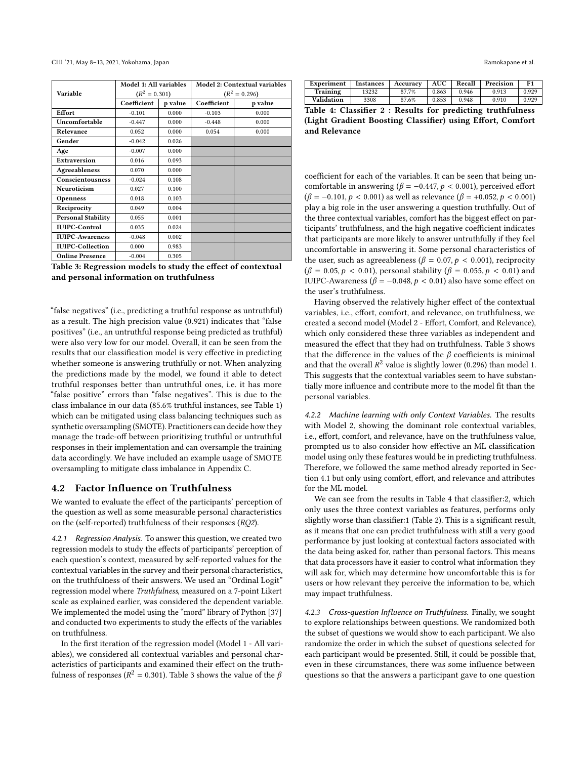<span id="page-5-0"></span>

|                           | Model 1: All variables |         | Model 2: Contextual variables |                 |  |  |
|---------------------------|------------------------|---------|-------------------------------|-----------------|--|--|
| Variable                  | $(R^2 = 0.301)$        |         |                               | $(R^2 = 0.296)$ |  |  |
|                           | Coefficient            | p value | Coefficient                   | p value         |  |  |
| Effort                    | $-0.101$               | 0.000   | $-0.103$                      | 0.000           |  |  |
| Uncomfortable             | $-0.447$               | 0.000   | $-0.448$                      | 0.000           |  |  |
| Relevance                 | 0.052                  | 0.000   | 0.054                         | 0.000           |  |  |
| Gender                    | $-0.042$               | 0.026   |                               |                 |  |  |
| Age                       | $-0.007$               | 0.000   |                               |                 |  |  |
| <b>Extraversion</b>       | 0.016                  | 0.093   |                               |                 |  |  |
| Agreeableness             | 0.070                  | 0.000   |                               |                 |  |  |
| Conscientousness          | $-0.024$               | 0.108   |                               |                 |  |  |
| Neuroticism               | 0.027                  | 0.100   |                               |                 |  |  |
| <b>Openness</b>           | 0.018                  | 0.103   |                               |                 |  |  |
| Reciprocity               | 0.049                  | 0.004   |                               |                 |  |  |
| <b>Personal Stability</b> | 0.055                  | 0.001   |                               |                 |  |  |
| <b>IUIPC-Control</b>      | 0.035                  | 0.024   |                               |                 |  |  |
| <b>IUIPC-Awareness</b>    | $-0.048$               | 0.002   |                               |                 |  |  |
| <b>IUIPC-Collection</b>   | 0.000                  | 0.983   |                               |                 |  |  |
| <b>Online Presence</b>    | $-0.004$               | 0.305   |                               |                 |  |  |

Table 3: Regression models to study the effect of contextual and personal information on truthfulness

"false negatives" (i.e., predicting a truthful response as untruthful) as a result. The high precision value (0.921) indicates that "false positives" (i.e., an untruthful response being predicted as truthful) were also very low for our model. Overall, it can be seen from the results that our classification model is very effective in predicting whether someone is answering truthfully or not. When analyzing the predictions made by the model, we found it able to detect truthful responses better than untruthful ones, i.e. it has more "false positive" errors than "false negatives". This is due to the class imbalance in our data (85.6% truthful instances, see Table [1\)](#page-4-0) which can be mitigated using class balancing techniques such as synthetic oversampling (SMOTE). Practitioners can decide how they manage the trade-off between prioritizing truthful or untruthful responses in their implementation and can oversample the training data accordingly. We have included an example usage of SMOTE oversampling to mitigate class imbalance in Appendix [C.](#page-13-2)

#### <span id="page-5-2"></span>4.2 Factor Influence on Truthfulness

We wanted to evaluate the effect of the participants' perception of the question as well as some measurable personal characteristics on the (self-reported) truthfulness of their responses (RQ2).

4.2.1 Regression Analysis. To answer this question, we created two regression models to study the effects of participants' perception of each question's context, measured by self-reported values for the contextual variables in the survey and their personal characteristics, on the truthfulness of their answers. We used an "Ordinal Logit" regression model where Truthfulness, measured on a 7-point Likert scale as explained earlier, was considered the dependent variable. We implemented the model using the "mord" library of Python [\[37\]](#page-11-39) and conducted two experiments to study the effects of the variables on truthfulness.

In the first iteration of the regression model (Model 1 - All variables), we considered all contextual variables and personal characteristics of participants and examined their effect on the truthfulness of responses ( $R^2 = 0.301$ ). Table [3](#page-5-0) shows the value of the  $\beta$ 

<span id="page-5-1"></span>

| Experiment | <i>Instances</i> | Accuracv | AUC   | Recall | Precision | F1    |
|------------|------------------|----------|-------|--------|-----------|-------|
| Training   | 13232            | 87.7%    | 0.863 | 0.946  | 0.913     | 0.929 |
| Validation | 3308             | 87.6%    | 0.853 | 0.948  | 0.910     | 0.929 |

Table 4: Classifier 2 : Results for predicting truthfulness (Light Gradient Boosting Classifier) using Effort, Comfort and Relevance

coefficient for each of the variables. It can be seen that being uncomfortable in answering ( $\beta = -0.447$ ,  $p < 0.001$ ), perceived effort  $(\beta = -0.101, p < 0.001)$  as well as relevance  $(\beta = +0.052, p < 0.001)$ play a big role in the user answering a question truthfully. Out of the three contextual variables, comfort has the biggest effect on participants' truthfulness, and the high negative coefficient indicates that participants are more likely to answer untruthfully if they feel uncomfortable in answering it. Some personal characteristics of the user, such as agreeableness ( $\beta = 0.07, p < 0.001$ ), reciprocity  $(\beta = 0.05, p < 0.01)$ , personal stability ( $\beta = 0.055, p < 0.01$ ) and IUIPC-Awareness ( $\beta$  = −0.048,  $p$  < 0.01) also have some effect on the user's truthfulness.

Having observed the relatively higher effect of the contextual variables, i.e., effort, comfort, and relevance, on truthfulness, we created a second model (Model 2 - Effort, Comfort, and Relevance), which only considered these three variables as independent and measured the effect that they had on truthfulness. Table [3](#page-5-0) shows that the difference in the values of the  $\beta$  coefficients is minimal and that the overall  $R^2$  value is slightly lower (0.296) than model 1. This suggests that the contextual variables seem to have substantially more influence and contribute more to the model fit than the personal variables.

4.2.2 Machine learning with only Context Variables. The results with Model 2, showing the dominant role contextual variables, i.e., effort, comfort, and relevance, have on the truthfulness value, prompted us to also consider how effective an ML classification model using only these features would be in predicting truthfulness. Therefore, we followed the same method already reported in Section [4.1](#page-4-2) but only using comfort, effort, and relevance and attributes for the ML model.

We can see from the results in Table [4](#page-5-1) that classifier:2, which only uses the three context variables as features, performs only slightly worse than classifier:1 (Table [2\)](#page-4-1). This is a significant result, as it means that one can predict truthfulness with still a very good performance by just looking at contextual factors associated with the data being asked for, rather than personal factors. This means that data processors have it easier to control what information they will ask for, which may determine how uncomfortable this is for users or how relevant they perceive the information to be, which may impact truthfulness.

4.2.3 Cross-question Influence on Truthfulness. Finally, we sought to explore relationships between questions. We randomized both the subset of questions we would show to each participant. We also randomize the order in which the subset of questions selected for each participant would be presented. Still, it could be possible that, even in these circumstances, there was some influence between questions so that the answers a participant gave to one question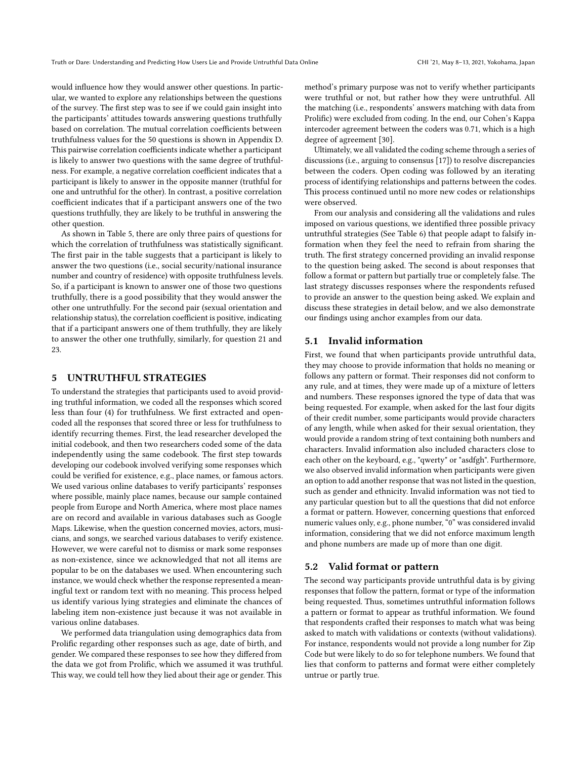would influence how they would answer other questions. In particular, we wanted to explore any relationships between the questions of the survey. The first step was to see if we could gain insight into the participants' attitudes towards answering questions truthfully based on correlation. The mutual correlation coefficients between truthfulness values for the 50 questions is shown in Appendix [D.](#page-13-3) This pairwise correlation coefficients indicate whether a participant is likely to answer two questions with the same degree of truthfulness. For example, a negative correlation coefficient indicates that a participant is likely to answer in the opposite manner (truthful for one and untruthful for the other). In contrast, a positive correlation coefficient indicates that if a participant answers one of the two questions truthfully, they are likely to be truthful in answering the other question.

As shown in Table [5,](#page-7-0) there are only three pairs of questions for which the correlation of truthfulness was statistically significant. The first pair in the table suggests that a participant is likely to answer the two questions (i.e., social security/national insurance number and country of residence) with opposite truthfulness levels. So, if a participant is known to answer one of those two questions truthfully, there is a good possibility that they would answer the other one untruthfully. For the second pair (sexual orientation and relationship status), the correlation coefficient is positive, indicating that if a participant answers one of them truthfully, they are likely to answer the other one truthfully, similarly, for question 21 and 23.

#### 5 UNTRUTHFUL STRATEGIES

To understand the strategies that participants used to avoid providing truthful information, we coded all the responses which scored less than four (4) for truthfulness. We first extracted and opencoded all the responses that scored three or less for truthfulness to identify recurring themes. First, the lead researcher developed the initial codebook, and then two researchers coded some of the data independently using the same codebook. The first step towards developing our codebook involved verifying some responses which could be verified for existence, e.g., place names, or famous actors. We used various online databases to verify participants' responses where possible, mainly place names, because our sample contained people from Europe and North America, where most place names are on record and available in various databases such as Google Maps. Likewise, when the question concerned movies, actors, musicians, and songs, we searched various databases to verify existence. However, we were careful not to dismiss or mark some responses as non-existence, since we acknowledged that not all items are popular to be on the databases we used. When encountering such instance, we would check whether the response represented a meaningful text or random text with no meaning. This process helped us identify various lying strategies and eliminate the chances of labeling item non-existence just because it was not available in various online databases.

We performed data triangulation using demographics data from Prolific regarding other responses such as age, date of birth, and gender. We compared these responses to see how they differed from the data we got from Prolific, which we assumed it was truthful. This way, we could tell how they lied about their age or gender. This

method's primary purpose was not to verify whether participants were truthful or not, but rather how they were untruthful. All the matching (i.e., respondents' answers matching with data from Prolific) were excluded from coding. In the end, our Cohen's Kappa intercoder agreement between the coders was 0.71, which is a high degree of agreement [\[30\]](#page-11-40).

Ultimately, we all validated the coding scheme through a series of discussions (i.e., arguing to consensus [\[17\]](#page-11-41)) to resolve discrepancies between the coders. Open coding was followed by an iterating process of identifying relationships and patterns between the codes. This process continued until no more new codes or relationships were observed.

From our analysis and considering all the validations and rules imposed on various questions, we identified three possible privacy untruthful strategies (See Table [6\)](#page-7-1) that people adapt to falsify information when they feel the need to refrain from sharing the truth. The first strategy concerned providing an invalid response to the question being asked. The second is about responses that follow a format or pattern but partially true or completely false. The last strategy discusses responses where the respondents refused to provide an answer to the question being asked. We explain and discuss these strategies in detail below, and we also demonstrate our findings using anchor examples from our data.

#### 5.1 Invalid information

First, we found that when participants provide untruthful data, they may choose to provide information that holds no meaning or follows any pattern or format. Their responses did not conform to any rule, and at times, they were made up of a mixture of letters and numbers. These responses ignored the type of data that was being requested. For example, when asked for the last four digits of their credit number, some participants would provide characters of any length, while when asked for their sexual orientation, they would provide a random string of text containing both numbers and characters. Invalid information also included characters close to each other on the keyboard, e.g., "qwerty" or "asdfgh". Furthermore, we also observed invalid information when participants were given an option to add another response that was not listed in the question, such as gender and ethnicity. Invalid information was not tied to any particular question but to all the questions that did not enforce a format or pattern. However, concerning questions that enforced numeric values only, e.g., phone number, "0" was considered invalid information, considering that we did not enforce maximum length and phone numbers are made up of more than one digit.

#### 5.2 Valid format or pattern

The second way participants provide untruthful data is by giving responses that follow the pattern, format or type of the information being requested. Thus, sometimes untruthful information follows a pattern or format to appear as truthful information. We found that respondents crafted their responses to match what was being asked to match with validations or contexts (without validations). For instance, respondents would not provide a long number for Zip Code but were likely to do so for telephone numbers. We found that lies that conform to patterns and format were either completely untrue or partly true.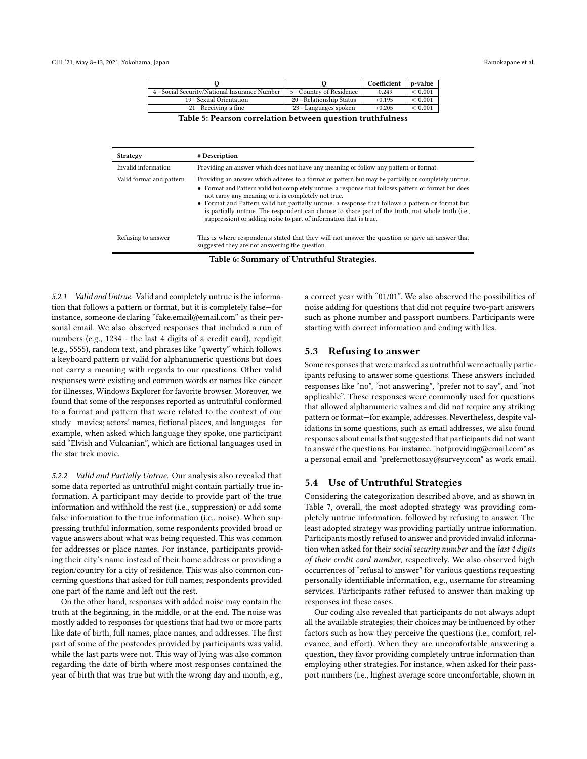|                                               |                          | Coefficient | p-value     |
|-----------------------------------------------|--------------------------|-------------|-------------|
| 4 - Social Security/National Insurance Number | 5 - Country of Residence | $-0.249$    | < 0.001     |
| 19 - Sexual Orientation                       | 20 - Relationship Status | $+0.195$    | < 0.001     |
| 21 - Receiving a fine                         | 23 - Languages spoken    | $+0.205$    | ${}< 0.001$ |
| --------                                      |                          |             |             |

Table 5: Pearson correlation between question truthfulness

<span id="page-7-1"></span><span id="page-7-0"></span>

| <b>Strategy</b>                            | # Description                                                                                                                                                                                                                                                                                                                                                                                                                                                                                                                                    |  |  |  |  |  |
|--------------------------------------------|--------------------------------------------------------------------------------------------------------------------------------------------------------------------------------------------------------------------------------------------------------------------------------------------------------------------------------------------------------------------------------------------------------------------------------------------------------------------------------------------------------------------------------------------------|--|--|--|--|--|
| Invalid information                        | Providing an answer which does not have any meaning or follow any pattern or format.                                                                                                                                                                                                                                                                                                                                                                                                                                                             |  |  |  |  |  |
| Valid format and pattern                   | Providing an answer which adheres to a format or pattern but may be partially or completely untrue:<br>• Format and Pattern valid but completely untrue: a response that follows pattern or format but does<br>not carry any meaning or it is completely not true.<br>• Format and Pattern valid but partially untrue: a response that follows a pattern or format but<br>is partially untrue. The respondent can choose to share part of the truth, not whole truth (i.e.,<br>suppression) or adding noise to part of information that is true. |  |  |  |  |  |
| Refusing to answer                         | This is where respondents stated that they will not answer the question or gave an answer that<br>suggested they are not answering the question.                                                                                                                                                                                                                                                                                                                                                                                                 |  |  |  |  |  |
| Table 6: Summary of Untruthful Strategies. |                                                                                                                                                                                                                                                                                                                                                                                                                                                                                                                                                  |  |  |  |  |  |

5.2.1 Valid and Untrue. Valid and completely untrue is the information that follows a pattern or format, but it is completely false—for instance, someone declaring "fake.email@email.com" as their personal email. We also observed responses that included a run of numbers (e.g., 1234 - the last 4 digits of a credit card), repdigit (e.g., 5555), random text, and phrases like "qwerty" which follows a keyboard pattern or valid for alphanumeric questions but does not carry a meaning with regards to our questions. Other valid responses were existing and common words or names like cancer for illnesses, Windows Explorer for favorite browser. Moreover, we found that some of the responses reported as untruthful conformed to a format and pattern that were related to the context of our study—movies; actors' names, fictional places, and languages—for example, when asked which language they spoke, one participant said "Elvish and Vulcanian", which are fictional languages used in the star trek movie.

5.2.2 Valid and Partially Untrue. Our analysis also revealed that some data reported as untruthful might contain partially true information. A participant may decide to provide part of the true information and withhold the rest (i.e., suppression) or add some false information to the true information (i.e., noise). When suppressing truthful information, some respondents provided broad or vague answers about what was being requested. This was common for addresses or place names. For instance, participants providing their city's name instead of their home address or providing a region/country for a city of residence. This was also common concerning questions that asked for full names; respondents provided one part of the name and left out the rest.

On the other hand, responses with added noise may contain the truth at the beginning, in the middle, or at the end. The noise was mostly added to responses for questions that had two or more parts like date of birth, full names, place names, and addresses. The first part of some of the postcodes provided by participants was valid, while the last parts were not. This way of lying was also common regarding the date of birth where most responses contained the year of birth that was true but with the wrong day and month, e.g., a correct year with "01/01". We also observed the possibilities of noise adding for questions that did not require two-part answers such as phone number and passport numbers. Participants were starting with correct information and ending with lies.

#### 5.3 Refusing to answer

Some responses that were marked as untruthful were actually participants refusing to answer some questions. These answers included responses like "no", "not answering", "prefer not to say", and "not applicable". These responses were commonly used for questions that allowed alphanumeric values and did not require any striking pattern or format—for example, addresses. Nevertheless, despite validations in some questions, such as email addresses, we also found responses about emails that suggested that participants did not want to answer the questions. For instance, "notproviding@email.com" as a personal email and "prefernottosay@survey.com" as work email.

## 5.4 Use of Untruthful Strategies

Considering the categorization described above, and as shown in Table [7,](#page-8-0) overall, the most adopted strategy was providing completely untrue information, followed by refusing to answer. The least adopted strategy was providing partially untrue information. Participants mostly refused to answer and provided invalid information when asked for their social security number and the last 4 digits of their credit card number, respectively. We also observed high occurrences of "refusal to answer" for various questions requesting personally identifiable information, e.g., username for streaming services. Participants rather refused to answer than making up responses int these cases.

Our coding also revealed that participants do not always adopt all the available strategies; their choices may be influenced by other factors such as how they perceive the questions (i.e., comfort, relevance, and effort). When they are uncomfortable answering a question, they favor providing completely untrue information than employing other strategies. For instance, when asked for their passport numbers (i.e., highest average score uncomfortable, shown in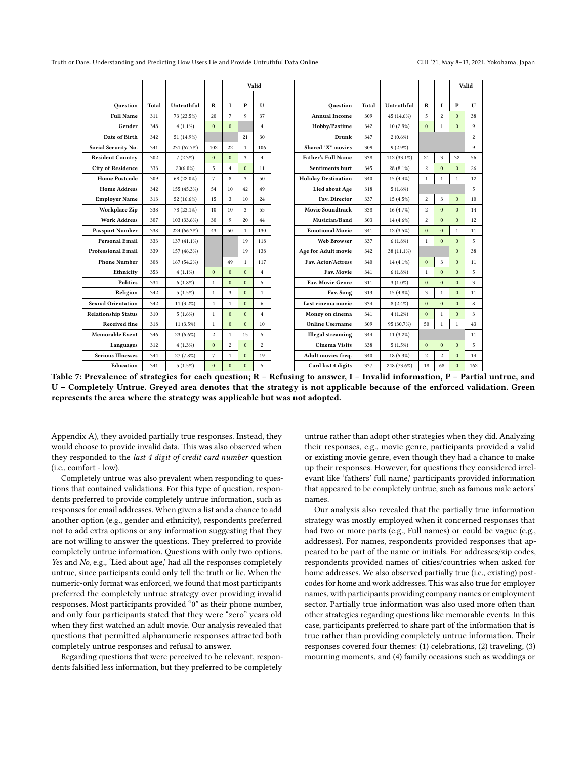<span id="page-8-0"></span>Truth or Dare: Understanding and Predicting How Users Lie and Provide Untruthful Data Online CHI 121, May 8-13, 2021, Yokohama, Japan

|                            |       |             |                |                |                         | Valid          |                            |       |               |                |                | Valid          |
|----------------------------|-------|-------------|----------------|----------------|-------------------------|----------------|----------------------------|-------|---------------|----------------|----------------|----------------|
|                            |       |             |                |                |                         |                |                            |       |               |                |                |                |
| Ouestion                   | Total | Untruthful  | R              | $\mathbf{I}$   | P                       | U              | Ouestion                   | Total | Untruthful    | R              | I              | P              |
| <b>Full Name</b>           | 311   | 73 (23.5%)  | 20             | $\overline{7}$ | $\mathbf{Q}$            | 37             | <b>Annual Income</b>       | 309   | 45 (14.6%)    | 5              | $\overline{c}$ | $\Omega$       |
| Gender                     | 348   | $4(1.1\%)$  | $\Omega$       | $\mathbf{0}$   |                         | $\overline{4}$ | Hobby/Pastime              | 342   | 10 (2.9%)     | $\Omega$       | $\mathbf{1}$   | $\Omega$       |
| Date of Birth              | 342   | 51 (14.9%)  |                |                | 21                      | 30             | Drunk                      | 347   | $2(0.6\%)$    |                |                |                |
| Social Security No.        | 341   | 231 (67.7%) | 102            | 22             | $\mathbf{1}$            | 106            | <b>Shared "X" movies</b>   | 309   | $9(2.9\%)$    |                |                |                |
| <b>Resident Country</b>    | 302   | 7(2.3%)     | $\mathbf{0}$   | $\mathbf{0}$   | 3                       | $\overline{4}$ | <b>Father's Full Name</b>  | 338   | $112(33.1\%)$ | 21             | 3              | 32             |
| <b>City of Residence</b>   | 333   | $20(6.0\%)$ | 5              | $\overline{4}$ | $\Omega$                | 11             | Sentiments hurt            | 345   | 28 (8.1%)     | $\overline{c}$ | $\overline{0}$ | $\Omega$       |
| <b>Home Postcode</b>       | 309   | 68 (22.0%)  | $\overline{7}$ | 8              | $\overline{\mathbf{3}}$ | 50             | <b>Holiday Destination</b> | 340   | 15 (4.4%)     | $\mathbf{1}$   | $\mathbf{1}$   | $\mathbf{1}$   |
| <b>Home Address</b>        | 342   | 155 (45.3%) | 54             | 10             | 42                      | 49             | Lied about Age             | 318   | $5(1.6\%)$    |                |                |                |
| <b>Employer Name</b>       | 313   | 52 (16.6%)  | 15             | 3              | 10                      | 24             | Fav. Director              | 337   | 15 (4.5%)     | $\overline{c}$ | 3              | $\overline{0}$ |
| <b>Workplace Zip</b>       | 338   | 78 (23.1%)  | 10             | 10             | 3                       | 55             | <b>Movie Soundtrack</b>    | 338   | 16 (4.7%)     | $\overline{2}$ | $\overline{0}$ | $\Omega$       |
| <b>Work Address</b>        | 307   | 103 (33.6%) | 30             | 9              | 20                      | 44             | Musician/Band              | 303   | 14 (4.6%)     | $\overline{c}$ | $\Omega$       | $\Omega$       |
| <b>Passport Number</b>     | 338   | 224 (66.3%) | 43             | 50             | $\mathbf{1}$            | 130            | <b>Emotional Movie</b>     | 341   | 12 (3.5%)     | $\Omega$       | $\Omega$       | $\mathbf{1}$   |
| <b>Personal Email</b>      | 333   | 137 (41.1%) |                |                | 19                      | 118            | <b>Web Browser</b>         | 337   | $6(1.8\%)$    | $\mathbf{1}$   | $\theta$       | $\overline{0}$ |
| <b>Professional Email</b>  | 339   | 157 (46.3%) |                |                | 19                      | 138            | Age for Adult movie        | 342   | 38 (11.1%)    |                |                | $\overline{0}$ |
| <b>Phone Number</b>        | 308   | 167 (54.2%) |                | 49             | $\mathbf{1}$            | 117            | Fav. Actor/Actress         | 340   | 14 (4.1%)     | $\Omega$       | 3              | $\overline{0}$ |
| Ethnicity                  | 353   | $4(1.1\%)$  | $\mathbf{0}$   | $\mathbf{0}$   | $\Omega$                | $\overline{4}$ | Fav. Movie                 | 341   | $6(1.8\%)$    | $\mathbf{1}$   | $\mathbf{0}$   | $\overline{0}$ |
| <b>Politics</b>            | 334   | $6(1.8\%)$  | $\,1$          | $\mathbf{0}$   | $\mathbf{0}$            | 5              | Fav. Movie Genre           | 311   | $3(1.0\%)$    | $\mathbf{0}$   | $\mathbf{0}$   | $\Omega$       |
| Religion                   | 342   | 5(1.5%)     | $\mathbf{1}$   | 3              | $\mathbf{0}$            | $\mathbf{1}$   | Fav. Song                  | 313   | 15 (4.8%)     | 3              | $\mathbf{1}$   | $\overline{0}$ |
| <b>Sexual Orientation</b>  | 342   | $11(3.2\%)$ | $\overline{4}$ | $\mathbf{1}$   | $\Omega$                | 6              | Last cinema movie          | 334   | $8(2.4\%)$    | $\Omega$       | $\mathbf{0}$   | $\Omega$       |
| <b>Relationship Status</b> | 310   | $5(1.6\%)$  | $\mathbf{1}$   | $\mathbf{0}$   | $\mathbf{0}$            | $\overline{4}$ | Money on cinema            | 341   | $4(1.2\%)$    | $\Omega$       | $\mathbf{1}$   | $\overline{0}$ |
| <b>Received fine</b>       | 318   | $11(3.5\%)$ | $\mathbf{1}$   | $\mathbf{0}$   | $\mathbf{0}$            | 10             | <b>Online Username</b>     | 309   | 95 (30.7%)    | 50             | $\mathbf{1}$   | $\mathbf{1}$   |
| <b>Memorable Event</b>     | 346   | 23 (6.6%)   | $\overline{c}$ | $\mathbf{1}$   | 15                      | 5              | <b>Illegal</b> streaming   | 344   | 11 (3.2%)     |                |                |                |
| Languages                  | 312   | $4(1.3\%)$  | $\mathbf{0}$   | $\overline{c}$ | $\mathbf{0}$            | $\overline{c}$ | <b>Cinema Visits</b>       | 338   | 5(1.5%)       | $\mathbf{0}$   | $\mathbf{0}$   | $\mathbf{0}$   |
| <b>Serious Illnesses</b>   | 344   | 27 (7.8%)   | $\overline{7}$ | $\mathbf{1}$   | $\mathbf{0}$            | 19             | Adult movies freq.         | 340   | 18 (5.3%)     | $\overline{c}$ | $\overline{c}$ | $\Omega$       |
| Education                  | 341   | 5(1.5%)     | $\mathbf{0}$   | $\mathbf{0}$   | $\theta$                | 5              | Card last 4 digits         | 337   | 248 (73.6%)   | 18             | 68             | $\overline{0}$ |

Table 7: Prevalence of strategies for each question; R – Refusing to answer, I – Invalid information, P – Partial untrue, and U – Completely Untrue. Greyed area denotes that the strategy is not applicable because of the enforced validation. Green represents the area where the strategy was applicable but was not adopted.

Appendix [A\)](#page-11-42), they avoided partially true responses. Instead, they would choose to provide invalid data. This was also observed when they responded to the last 4 digit of credit card number question (i.e., comfort - low).

Completely untrue was also prevalent when responding to questions that contained validations. For this type of question, respondents preferred to provide completely untrue information, such as responses for email addresses. When given a list and a chance to add another option (e.g., gender and ethnicity), respondents preferred not to add extra options or any information suggesting that they are not willing to answer the questions. They preferred to provide completely untrue information. Questions with only two options, Yes and No, e.g., 'Lied about age,' had all the responses completely untrue, since participants could only tell the truth or lie. When the numeric-only format was enforced, we found that most participants preferred the completely untrue strategy over providing invalid responses. Most participants provided "0" as their phone number, and only four participants stated that they were "zero" years old when they first watched an adult movie. Our analysis revealed that questions that permitted alphanumeric responses attracted both completely untrue responses and refusal to answer.

Regarding questions that were perceived to be relevant, respondents falsified less information, but they preferred to be completely

untrue rather than adopt other strategies when they did. Analyzing their responses, e.g., movie genre, participants provided a valid or existing movie genre, even though they had a chance to make up their responses. However, for questions they considered irrelevant like 'fathers' full name,' participants provided information that appeared to be completely untrue, such as famous male actors' names.

Our analysis also revealed that the partially true information strategy was mostly employed when it concerned responses that had two or more parts (e.g., Full names) or could be vague (e.g., addresses). For names, respondents provided responses that appeared to be part of the name or initials. For addresses/zip codes, respondents provided names of cities/countries when asked for home addresses. We also observed partially true (i.e., existing) postcodes for home and work addresses. This was also true for employer names, with participants providing company names or employment sector. Partially true information was also used more often than other strategies regarding questions like memorable events. In this case, participants preferred to share part of the information that is true rather than providing completely untrue information. Their responses covered four themes: (1) celebrations, (2) traveling, (3) mourning moments, and (4) family occasions such as weddings or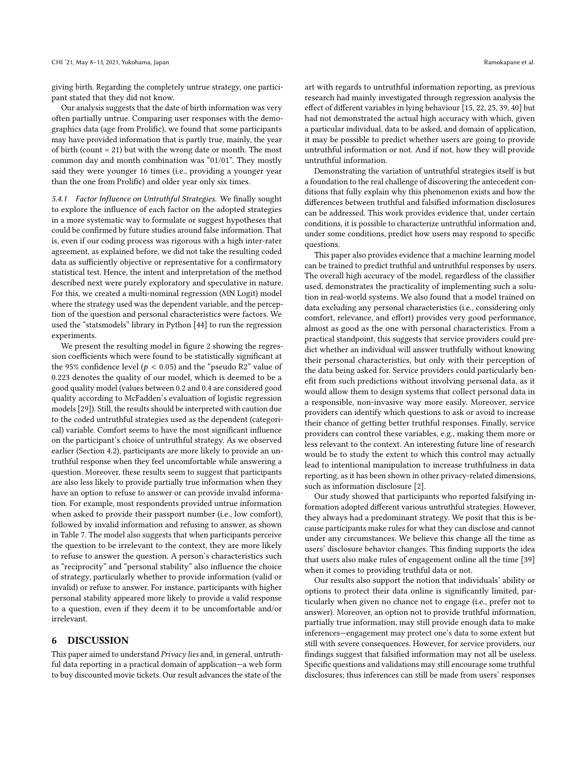giving birth. Regarding the completely untrue strategy, one participant stated that they did not know.

Our analysis suggests that the date of birth information was very often partially untrue. Comparing user responses with the demographics data (age from Prolific), we found that some participants may have provided information that is partly true, mainly, the year of birth (count = 21) but with the wrong date or month. The most common day and month combination was "01/01". They mostly said they were younger 16 times (i.e., providing a younger year than the one from Prolific) and older year only six times.

5.4.1 Factor Influence on Untruthful Strategies. We finally sought to explore the influence of each factor on the adopted strategies in a more systematic way to formulate or suggest hypotheses that could be confirmed by future studies around false information. That is, even if our coding process was rigorous with a high inter-rater agreement, as explained before, we did not take the resulting coded data as sufficiently objective or representative for a confirmatory statistical test. Hence, the intent and interpretation of the method described next were purely exploratory and speculative in nature. For this, we created a multi-nominal regression (MN Logit) model where the strategy used was the dependent variable, and the perception of the question and personal characteristics were factors. We used the "statsmodels" library in Python [\[44\]](#page-11-43) to run the regression experiments.

We present the resulting model in figure [2](#page-10-2) showing the regression coefficients which were found to be statistically significant at the 95% confidence level ( $p < 0.05$ ) and the "pseudo R2" value of 0.223 denotes the quality of our model, which is deemed to be a good quality model (values between 0.2 and 0.4 are considered good quality according to McFadden's evaluation of logistic regression models [\[29\]](#page-11-44)). Still, the results should be interpreted with caution due to the coded untruthful strategies used as the dependent (categorical) variable. Comfort seems to have the most significant influence on the participant's choice of untruthful strategy. As we observed earlier (Section [4.2\)](#page-5-2), participants are more likely to provide an untruthful response when they feel uncomfortable while answering a question. Moreover, these results seem to suggest that participants are also less likely to provide partially true information when they have an option to refuse to answer or can provide invalid information. For example, most respondents provided untrue information when asked to provide their passport number (i.e., low comfort), followed by invalid information and refusing to answer, as shown in Table [7.](#page-8-0) The model also suggests that when participants perceive the question to be irrelevant to the context, they are more likely to refuse to answer the question. A person's characteristics such as "reciprocity" and "personal stability" also influence the choice of strategy, particularly whether to provide information (valid or invalid) or refuse to answer. For instance, participants with higher personal stability appeared more likely to provide a valid response to a question, even if they deem it to be uncomfortable and/or irrelevant.

#### 6 DISCUSSION

This paper aimed to understand Privacy lies and, in general, untruthful data reporting in a practical domain of application—a web form to buy discounted movie tickets. Our result advances the state of the

art with regards to untruthful information reporting, as previous research had mainly investigated through regression analysis the effect of different variables in lying behaviour [\[15,](#page-11-7) [22,](#page-11-5) [25,](#page-11-6) [39,](#page-11-2) [40\]](#page-11-45) but had not demonstrated the actual high accuracy with which, given a particular individual, data to be asked, and domain of application, it may be possible to predict whether users are going to provide untruthful information or not. And if not, how they will provide untruthful information.

Demonstrating the variation of untruthful strategies itself is but a foundation to the real challenge of discovering the antecedent conditions that fully explain why this phenomenon exists and how the differences between truthful and falsified information disclosures can be addressed. This work provides evidence that, under certain conditions, it is possible to characterize untruthful information and, under some conditions, predict how users may respond to specific questions.

This paper also provides evidence that a machine learning model can be trained to predict truthful and untruthful responses by users. The overall high accuracy of the model, regardless of the classifier used, demonstrates the practicality of implementing such a solution in real-world systems. We also found that a model trained on data excluding any personal characteristics (i.e., considering only comfort, relevance, and effort) provides very good performance, almost as good as the one with personal characteristics. From a practical standpoint, this suggests that service providers could predict whether an individual will answer truthfully without knowing their personal characteristics, but only with their perception of the data being asked for. Service providers could particularly benefit from such predictions without involving personal data, as it would allow them to design systems that collect personal data in a responsible, non-invasive way more easily. Moreover, service providers can identify which questions to ask or avoid to increase their chance of getting better truthful responses. Finally, service providers can control these variables, e.g., making them more or less relevant to the context. An interesting future line of research would be to study the extent to which this control may actually lead to intentional manipulation to increase truthfulness in data reporting, as it has been shown in other privacy-related dimensions, such as information disclosure [\[2\]](#page-10-3).

Our study showed that participants who reported falsifying information adopted different various untruthful strategies. However, they always had a predominant strategy. We posit that this is because participants make rules for what they can disclose and cannot under any circumstances. We believe this change all the time as users' disclosure behavior changes. This finding supports the idea that users also make rules of engagement online all the time [\[39\]](#page-11-2) when it comes to providing truthful data or not.

Our results also support the notion that individuals' ability or options to protect their data online is significantly limited, particularly when given no chance not to engage (i.e., prefer not to answer). Moreover, an option not to provide truthful information, partially true information, may still provide enough data to make inferences—engagement may protect one's data to some extent but still with severe consequences. However, for service providers, our findings suggest that falsified information may not all be useless. Specific questions and validations may still encourage some truthful disclosures; thus inferences can still be made from users' responses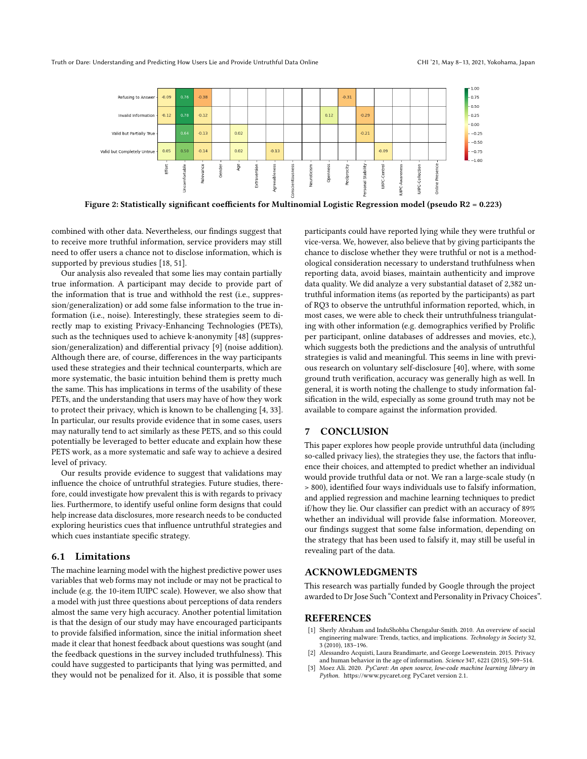<span id="page-10-2"></span>Truth or Dare: Understanding and Predicting How Users Lie and Provide Untruthful Data Online CHI 121, May 8-13, 2021, Yokohama, Japan



Figure 2: Statistically significant coefficients for Multinomial Logistic Regression model (pseudo R2 = 0.223)

combined with other data. Nevertheless, our findings suggest that to receive more truthful information, service providers may still need to offer users a chance not to disclose information, which is supported by previous studies [\[18,](#page-11-11) [51\]](#page-11-46).

Our analysis also revealed that some lies may contain partially true information. A participant may decide to provide part of the information that is true and withhold the rest (i.e., suppression/generalization) or add some false information to the true information (i.e., noise). Interestingly, these strategies seem to directly map to existing Privacy-Enhancing Technologies (PETs), such as the techniques used to achieve k-anonymity [\[48\]](#page-11-47) (suppression/generalization) and differential privacy [\[9\]](#page-11-48) (noise addition). Although there are, of course, differences in the way participants used these strategies and their technical counterparts, which are more systematic, the basic intuition behind them is pretty much the same. This has implications in terms of the usability of these PETs, and the understanding that users may have of how they work to protect their privacy, which is known to be challenging [\[4,](#page-11-49) [33\]](#page-11-50). In particular, our results provide evidence that in some cases, users may naturally tend to act similarly as these PETS, and so this could potentially be leveraged to better educate and explain how these PETS work, as a more systematic and safe way to achieve a desired level of privacy.

Our results provide evidence to suggest that validations may influence the choice of untruthful strategies. Future studies, therefore, could investigate how prevalent this is with regards to privacy lies. Furthermore, to identify useful online form designs that could help increase data disclosures, more research needs to be conducted exploring heuristics cues that influence untruthful strategies and which cues instantiate specific strategy.

#### 6.1 Limitations

The machine learning model with the highest predictive power uses variables that web forms may not include or may not be practical to include (e.g. the 10-item IUIPC scale). However, we also show that a model with just three questions about perceptions of data renders almost the same very high accuracy. Another potential limitation is that the design of our study may have encouraged participants to provide falsified information, since the initial information sheet made it clear that honest feedback about questions was sought (and the feedback questions in the survey included truthfulness). This could have suggested to participants that lying was permitted, and they would not be penalized for it. Also, it is possible that some participants could have reported lying while they were truthful or vice-versa. We, however, also believe that by giving participants the chance to disclose whether they were truthful or not is a methodological consideration necessary to understand truthfulness when reporting data, avoid biases, maintain authenticity and improve data quality. We did analyze a very substantial dataset of 2,382 untruthful information items (as reported by the participants) as part of RQ3 to observe the untruthful information reported, which, in most cases, we were able to check their untruthfulness triangulating with other information (e.g. demographics verified by Prolific per participant, online databases of addresses and movies, etc.), which suggests both the predictions and the analysis of untruthful strategies is valid and meaningful. This seems in line with previous research on voluntary self-disclosure [\[40\]](#page-11-45), where, with some ground truth verification, accuracy was generally high as well. In general, it is worth noting the challenge to study information falsification in the wild, especially as some ground truth may not be available to compare against the information provided.

#### 7 CONCLUSION

This paper explores how people provide untruthful data (including so-called privacy lies), the strategies they use, the factors that influence their choices, and attempted to predict whether an individual would provide truthful data or not. We ran a large-scale study (n > 800), identified four ways individuals use to falsify information, and applied regression and machine learning techniques to predict if/how they lie. Our classifier can predict with an accuracy of 89% whether an individual will provide false information. Moreover, our findings suggest that some false information, depending on the strategy that has been used to falsify it, may still be useful in revealing part of the data.

## ACKNOWLEDGMENTS

This research was partially funded by Google through the project awarded to Dr Jose Such "Context and Personality in Privacy Choices".

#### REFERENCES

- <span id="page-10-0"></span>[1] Sherly Abraham and InduShobha Chengalur-Smith. 2010. An overview of social engineering malware: Trends, tactics, and implications. Technology in Society 32, 3 (2010), 183–196.
- <span id="page-10-3"></span>Alessandro Acquisti, Laura Brandimarte, and George Loewenstein. 2015. Privacy and human behavior in the age of information. Science 347, 6221 (2015), 509–514.
- <span id="page-10-1"></span>[3] Moez Ali. 2020. PyCaret: An open source, low-code machine learning library in Python.<https://www.pycaret.org> PyCaret version 2.1.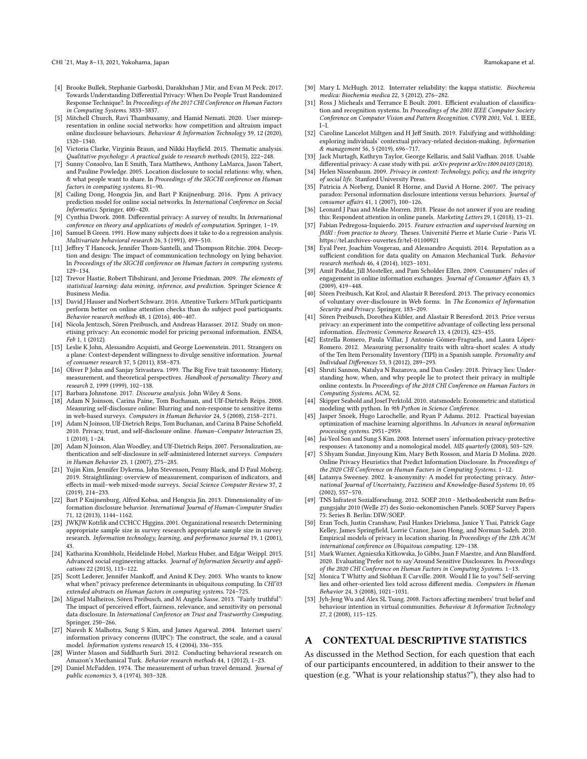- <span id="page-11-49"></span>[4] Brooke Bullek, Stephanie Garboski, Darakhshan J Mir, and Evan M Peck. 2017. Towards Understanding Differential Privacy: When Do People Trust Randomized Response Technique?. In Proceedings of the 2017 CHI Conference on Human Factors in Computing Systems. 3833–3837.
- <span id="page-11-16"></span>[5] Mitchell Church, Ravi Thambusamy, and Hamid Nemati. 2020. User misrepresentation in online social networks: how competition and altruism impact online disclosure behaviours. Behaviour & Information Technology 39, 12 (2020), 1320–1340.
- <span id="page-11-35"></span>[6] Victoria Clarke, Virginia Braun, and Nikki Hayfield. 2015. Thematic analysis. Qualitative psychology: A practical guide to research methods (2015), 222–248.
- <span id="page-11-4"></span>[7] Sunny Consolvo, Ian E Smith, Tara Matthews, Anthony LaMarca, Jason Tabert, and Pauline Powledge. 2005. Location disclosure to social relations: why, when, & what people want to share. In Proceedings of the SIGCHI conference on Human factors in computing systems. 81–90.
- <span id="page-11-17"></span>[8] Cailing Dong, Hongxia Jin, and Bart P Knijnenburg. 2016. Ppm: A privacy prediction model for online social networks. In International Conference on Social Informatics. Springer, 400–420.
- <span id="page-11-48"></span>[9] Cynthia Dwork. 2008. Differential privacy: A survey of results. In International conference on theory and applications of models of computation. Springer, 1–19.
- <span id="page-11-29"></span>[10] Samuel B Green. 1991. How many subjects does it take to do a regression analysis. Multivariate behavioral research 26, 3 (1991), 499–510.
- <span id="page-11-1"></span>[11] Jeffrey T Hancock, Jennifer Thom-Santelli, and Thompson Ritchie. 2004. Deception and design: The impact of communication technology on lying behavior. In Proceedings of the SIGCHI conference on Human factors in computing systems. 129–134.
- <span id="page-11-37"></span>[12] Trevor Hastie, Robert Tibshirani, and Jerome Friedman. 2009. The elements of statistical learning: data mining, inference, and prediction. Springer Science & Business Media.
- <span id="page-11-30"></span>[13] David J Hauser and Norbert Schwarz. 2016. Attentive Turkers: MTurk participants perform better on online attention checks than do subject pool participants. Behavior research methods 48, 1 (2016), 400–407.
- <span id="page-11-9"></span>[14] Nicola Jentzsch, Sören Preibusch, and Andreas Harasser. 2012. Study on monetising privacy: An economic model for pricing personal information. ENISA, Feb 1, 1 (2012).
- <span id="page-11-7"></span>[15] Leslie K John, Alessandro Acquisti, and George Loewenstein. 2011. Strangers on a plane: Context-dependent willingness to divulge sensitive information. Journal of consumer research 37, 5 (2011), 858–873.
- <span id="page-11-23"></span>[16] Oliver P John and Sanjay Srivastava. 1999. The Big Five trait taxonomy: History, measurement, and theoretical perspectives. Handbook of personality: Theory and research 2, 1999 (1999), 102–138.
- <span id="page-11-41"></span>[17] Barbara Johnstone. 2017. Discourse analysis. John Wiley & Sons.
- <span id="page-11-11"></span>[18] Adam N Joinson, Carina Paine, Tom Buchanan, and Ulf-Dietrich Reips. 2008. Measuring self-disclosure online: Blurring and non-response to sensitive items in web-based surveys. Computers in Human Behavior 24, 5 (2008), 2158–2171.
- <span id="page-11-19"></span>[19] Adam N Joinson, Ulf-Dietrich Reips, Tom Buchanan, and Carina B Paine Schofield. 2010. Privacy, trust, and self-disclosure online. Human–Computer Interaction 25, 1 (2010), 1–24.
- <span id="page-11-13"></span>[20] Adam N Joinson, Alan Woodley, and Ulf-Dietrich Reips. 2007. Personalization, authentication and self-disclosure in self-administered Internet surveys. Computers in Human Behavior 23, 1 (2007), 275–285.
- <span id="page-11-31"></span>[21] Yujin Kim, Jennifer Dykema, John Stevenson, Penny Black, and D Paul Moberg. 2019. Straightlining: overview of measurement, comparison of indicators, and effects in mail–web mixed-mode surveys. Social Science Computer Review 37, 2 (2019), 214–233.
- <span id="page-11-5"></span>[22] Bart P Knijnenburg, Alfred Kobsa, and Hongxia Jin. 2013. Dimensionality of information disclosure behavior. International Journal of Human-Computer Studies 71, 12 (2013), 1144–1162.
- <span id="page-11-28"></span>[23] JWKJW Kotrlik and CCHCC Higgins. 2001. Organizational research: Determining appropriate sample size in survey research appropriate sample size in survey research. Information technology, learning, and performance journal 19, 1 (2001), 43.
- <span id="page-11-15"></span>[24] Katharina Krombholz, Heidelinde Hobel, Markus Huber, and Edgar Weippl. 2015. Advanced social engineering attacks. Journal of Information Security and applications 22 (2015), 113–122.
- <span id="page-11-6"></span>[25] Scott Lederer, Jennifer Mankoff, and Anind K Dey. 2003. Who wants to know what when? privacy preference determinants in ubiquitous computing. In CHI'03 extended abstracts on Human factors in computing systems. 724-
- <span id="page-11-27"></span>[26] Miguel Malheiros, Sören Preibusch, and M Angela Sasse. 2013. "Fairly truthful": The impact of perceived effort, fairness, relevance, and sensitivity on personal data disclosure. In International Conference on Trust and Trustworthy Computing. Springer, 250–266.
- <span id="page-11-25"></span>[27] Naresh K Malhotra, Sung S Kim, and James Agarwal. 2004. Internet users' information privacy concerns (IUIPC): The construct, the scale, and a causal model. Information systems research 15, 4 (2004), 336–355.
- <span id="page-11-32"></span>[28] Winter Mason and Siddharth Suri. 2012. Conducting behavioral research on Amazon's Mechanical Turk. Behavior research methods 44, 1 (2012), 1–23.
- <span id="page-11-44"></span>[29] Daniel McFadden. 1974. The measurement of urban travel demand. Journal of public economics 3, 4 (1974), 303–328.
- <span id="page-11-40"></span>[30] Mary L McHugh. 2012. Interrater reliability: the kappa statistic. Biochemia medica: Biochemia medica 22, 3 (2012), 276–282.
- <span id="page-11-36"></span>[31] Ross J Micheals and Terrance E Boult. 2001. Efficient evaluation of classification and recognition systems. In Proceedings of the 2001 IEEE Computer Society Conference on Computer Vision and Pattern Recognition. CVPR 2001, Vol. 1. IEEE,  $I-I$
- <span id="page-11-12"></span>[32] Caroline Lancelot Miltgen and H Jeff Smith. 2019. Falsifying and withholding: exploring individuals' contextual privacy-related decision-making. Information & management 56, 5 (2019), 696–717.
- <span id="page-11-50"></span>[33] Jack Murtagh, Kathryn Taylor, George Kellaris, and Salil Vadhan. 2018. Usable differential privacy: A case study with psi. arXiv preprint arXiv:1809.04103 (2018).
- <span id="page-11-8"></span>[34] Helen Nissenbaum. 2009. Privacy in context: Technology, policy, and the integrity of social life. Stanford University Press.
- <span id="page-11-20"></span>[35] Patricia A Norberg, Daniel R Horne, and David A Horne. 2007. The privacy paradox: Personal information disclosure intentions versus behaviors. Journal of consumer affairs 41, 1 (2007), 100–126.
- <span id="page-11-33"></span>[36] Leonard J Paas and Meike Morren. 2018. Please do not answer if you are reading this: Respondent attention in online panels. Marketing Letters 29, 1 (2018), 13–21.
- <span id="page-11-39"></span>[37] Fabian Pedregosa-Izquierdo. 2015. Feature extraction and supervised learning on fMRI : from practice to theory. Theses. Université Pierre et Marie Curie - Paris VI. <https://tel.archives-ouvertes.fr/tel-01100921>
- <span id="page-11-34"></span>[38] Eyal Peer, Joachim Vosgerau, and Alessandro Acquisti. 2014. Reputation as a sufficient condition for data quality on Amazon Mechanical Turk. Behavior research methods 46, 4 (2014), 1023–1031.
- <span id="page-11-2"></span>[39] Amit Poddar, Jill Mosteller, and Pam Scholder Ellen. 2009. Consumers' rules of engagement in online information exchanges. Journal of Consumer Affairs 43, 3 (2009), 419–448.
- <span id="page-11-45"></span>[40] Sören Preibusch, Kat Krol, and Alastair R Beresford. 2013. The privacy economics of voluntary over-disclosure in Web forms. In The Economics of Information Security and Privacy. Springer, 183–209.
- <span id="page-11-22"></span>[41] Sören Preibusch, Dorothea Kübler, and Alastair R Beresford. 2013. Price versus privacy: an experiment into the competitive advantage of collecting less personal information. Electronic Commerce Research 13, 4 (2013), 423–455.
- <span id="page-11-24"></span>[42] Estrella Romero, Paula Villar, J Antonio Gómez-Fraguela, and Laura López-Romero. 2012. Measuring personality traits with ultra-short scales: A study of the Ten Item Personality Inventory (TIPI) in a Spanish sample. Personality and Individual Differences 53, 3 (2012), 289–293.
- <span id="page-11-0"></span>[43] Shruti Sannon, Natalya N Bazarova, and Dan Cosley. 2018. Privacy lies: Understanding how, when, and why people lie to protect their privacy in multiple online contexts. In Proceedings of the 2018 CHI Conference on Human Factors in Computing Systems. ACM, 52.
- <span id="page-11-43"></span>[44] Skipper Seabold and Josef Perktold. 2010. statsmodels: Econometric and statistical modeling with python. In 9th Python in Science Conference.
- <span id="page-11-38"></span>[45] Jasper Snoek, Hugo Larochelle, and Ryan P Adams. 2012. Practical bayesian optimization of machine learning algorithms. In Advances in neural information processing systems. 2951–2959.
- <span id="page-11-10"></span>[46] Jai-Yeol Son and Sung S Kim. 2008. Internet users' information privacy-protective responses: A taxonomy and a nomological model. MIS quarterly (2008), 503-529.
- <span id="page-11-21"></span>[47] S Shyam Sundar, Jinyoung Kim, Mary Beth Rosson, and Maria D Molina. 2020. Online Privacy Heuristics that Predict Information Disclosure. In Proceedings of the 2020 CHI Conference on Human Factors in Computing Systems. 1–12.
- <span id="page-11-47"></span>[48] Latanya Sweeney. 2002. k-anonymity: A model for protecting privacy. International Journal of Uncertainty, Fuzziness and Knowledge-Based Systems 10, 05 (2002), 557–570.
- <span id="page-11-26"></span>[49] TNS Infratest Sozialforschung. 2012. SOEP 2010 - Methodenbericht zum Befragungsjahr 2010 (Welle 27) des Sozio-oekonomischen Panels. SOEP Survey Papers 75: Series B. Berlin: DIW/SOEP.
- <span id="page-11-18"></span>[50] Eran Toch, Justin Cranshaw, Paul Hankes Drielsma, Janice Y Tsai, Patrick Gage Kelley, James Springfield, Lorrie Cranor, Jason Hong, and Norman Sadeh. 2010. Empirical models of privacy in location sharing. In Proceedings of the 12th ACM international conference on Ubiquitous computing. 129–138.
- <span id="page-11-46"></span>[51] Mark Warner, Agnieszka Kitkowska, Jo Gibbs, Juan F Maestre, and Ann Blandford. 2020. Evaluating'Prefer not to say'Around Sensitive Disclosures. In Proceedings of the 2020 CHI Conference on Human Factors in Computing Systems. 1–13.
- <span id="page-11-3"></span>[52] Monica T Whitty and Siobhan E Carville. 2008. Would I lie to you? Self-serving lies and other-oriented lies told across different media. Computers in Human Behavior 24, 3 (2008), 1021–1031.
- <span id="page-11-14"></span>[53] Jyh-Jeng Wu and Alex SL Tsang. 2008. Factors affecting members' trust belief and behaviour intention in virtual communities. Behaviour & Information Technology 27, 2 (2008), 115–125.

## <span id="page-11-42"></span>A CONTEXTUAL DESCRIPTIVE STATISTICS

As discussed in the Method Section, for each question that each of our participants encountered, in addition to their answer to the question (e.g. "What is your relationship status?"), they also had to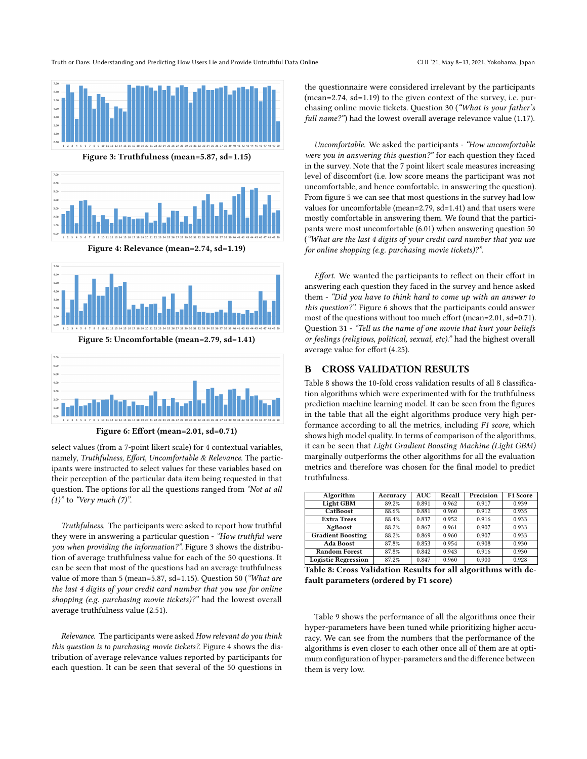Truth or Dare: Understanding and Predicting How Users Lie and Provide Untruthful Data Online CHI 121, May 8-13, 2021, Yokohama, Japan

<span id="page-12-2"></span>



Figure 4: Relevance (mean=2.74, sd=1.19)





Figure 6: Effort (mean=2.01, sd=0.71)

select values (from a 7-point likert scale) for 4 contextual variables, namely, Truthfulness, Effort, Uncomfortable & Relevance. The participants were instructed to select values for these variables based on their perception of the particular data item being requested in that question. The options for all the questions ranged from "Not at all  $(1)$ " to "Very much  $(7)$ ".

Truthfulness. The participants were asked to report how truthful they were in answering a particular question - "How truthful were you when providing the information?". Figure [3](#page-12-2) shows the distribution of average truthfulness value for each of the 50 questions. It can be seen that most of the questions had an average truthfulness value of more than 5 (mean=5.87, sd=1.15). Question 50 ("What are the last 4 digits of your credit card number that you use for online shopping (e.g. purchasing movie tickets)?" had the lowest overall average truthfulness value (2.51).

Relevance. The participants were asked How relevant do you think this question is to purchasing movie tickets?. Figure [4](#page-12-2) shows the distribution of average relevance values reported by participants for each question. It can be seen that several of the 50 questions in

the questionnaire were considered irrelevant by the participants (mean=2.74, sd=1.19) to the given context of the survey, i.e. purchasing online movie tickets. Question 30 ("What is your father's full name?") had the lowest overall average relevance value (1.17).

Uncomfortable. We asked the participants - "How uncomfortable were you in answering this question?" for each question they faced in the survey. Note that the 7 point likert scale measures increasing level of discomfort (i.e. low score means the participant was not uncomfortable, and hence comfortable, in answering the question). From figure [5](#page-12-2) we can see that most questions in the survey had low values for uncomfortable (mean=2.79, sd=1.41) and that users were mostly comfortable in answering them. We found that the participants were most uncomfortable (6.01) when answering question 50 ("What are the last 4 digits of your credit card number that you use for online shopping (e.g. purchasing movie tickets)?".

Effort. We wanted the participants to reflect on their effort in answering each question they faced in the survey and hence asked them - "Did you have to think hard to come up with an answer to this question?". Figure [6](#page-12-2) shows that the participants could answer most of the questions without too much effort (mean=2.01, sd=0.71). Question 31 - "Tell us the name of one movie that hurt your beliefs or feelings (religious, political, sexual, etc)." had the highest overall average value for effort (4.25).

#### <span id="page-12-1"></span>B CROSS VALIDATION RESULTS

Table [8](#page-12-0) shows the 10-fold cross validation results of all 8 classification algorithms which were experimented with for the truthfulness prediction machine learning model. It can be seen from the figures in the table that all the eight algorithms produce very high performance according to all the metrics, including F1 score, which shows high model quality. In terms of comparison of the algorithms, it can be seen that Light Gradient Boosting Machine (Light GBM) marginally outperforms the other algorithms for all the evaluation metrics and therefore was chosen for the final model to predict truthfulness.

<span id="page-12-0"></span>

| Algorithm                  | Accuracy | <b>AUC</b> | Recall | Precision | F <sub>1</sub> Score |
|----------------------------|----------|------------|--------|-----------|----------------------|
| Light GBM                  | 89.2%    | 0.891      | 0.962  | 0.917     | 0.939                |
| CatBoost                   | 88.6%    | 0.881      | 0.960  | 0.912     | 0.935                |
| <b>Extra Trees</b>         | 88.4%    | 0.837      | 0.952  | 0.916     | 0.933                |
| XgBoost                    | 88.2%    | 0.867      | 0.961  | 0.907     | 0.933                |
| <b>Gradient Boosting</b>   | 88.2%    | 0.869      | 0.960  | 0.907     | 0.933                |
| <b>Ada Boost</b>           | 87.8%    | 0.853      | 0.954  | 0.908     | 0.930                |
| <b>Random Forest</b>       | 87.8%    | 0.842      | 0.943  | 0.916     | 0.930                |
| <b>Logistic Regression</b> | 87.2%    | 0.847      | 0.960  | 0.900     | 0.928                |

Table 8: Cross Validation Results for all algorithms with default parameters (ordered by F1 score)

Table [9](#page-13-1) shows the performance of all the algorithms once their hyper-parameters have been tuned while prioritizing higher accuracy. We can see from the numbers that the performance of the algorithms is even closer to each other once all of them are at optimum configuration of hyper-parameters and the difference between them is very low.